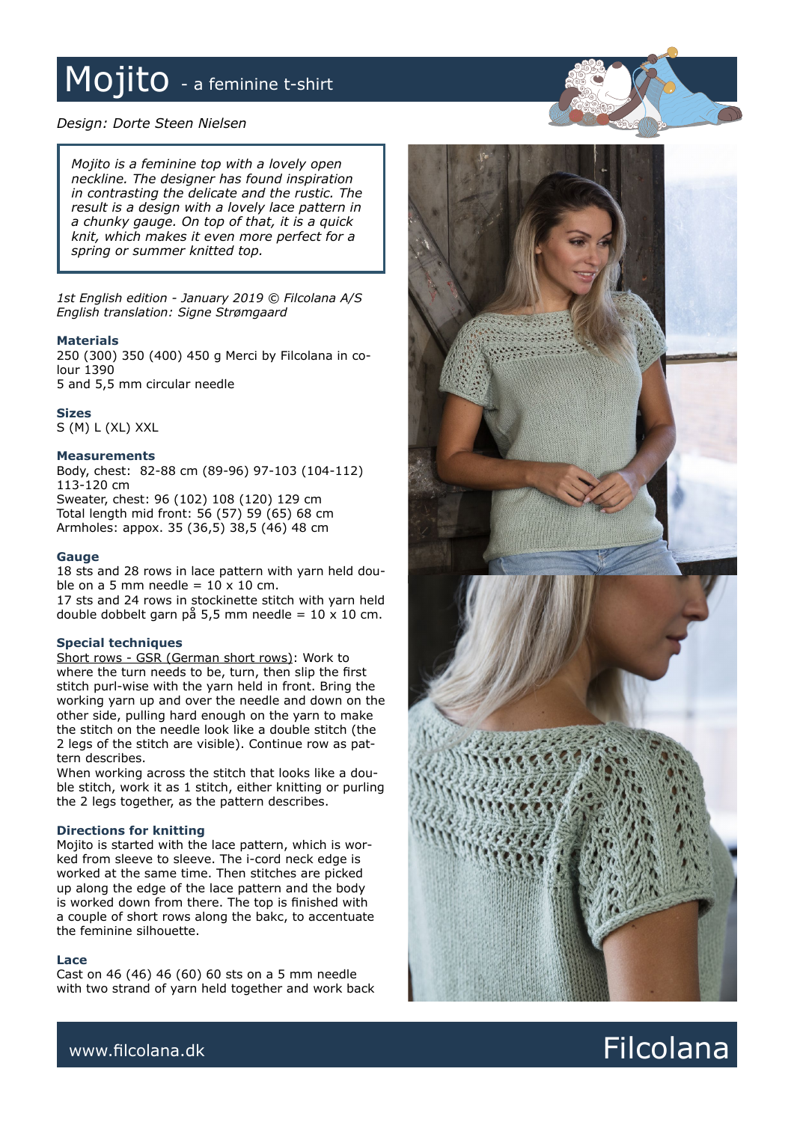## Mojito - a feminine t-shirt

*Design: Dorte Steen Nielsen*

*Mojito is a feminine top with a lovely open neckline. The designer has found inspiration in contrasting the delicate and the rustic. The result is a design with a lovely lace pattern in a chunky gauge. On top of that, it is a quick knit, which makes it even more perfect for a spring or summer knitted top.*

*1st English edition - January 2019 © Filcolana A/S English translation: Signe Strømgaard*

### **Materials**

250 (300) 350 (400) 450 g Merci by Filcolana in colour 1390 5 and 5,5 mm circular needle

### **Sizes**

S (M) L (XL) XXL

### **Measurements**

Body, chest: 82-88 cm (89-96) 97-103 (104-112) 113-120 cm Sweater, chest: 96 (102) 108 (120) 129 cm Total length mid front: 56 (57) 59 (65) 68 cm Armholes: appox. 35 (36,5) 38,5 (46) 48 cm

### **Gauge**

18 sts and 28 rows in lace pattern with yarn held double on a 5 mm needle =  $10 \times 10$  cm. 17 sts and 24 rows in stockinette stitch with yarn held double dobbelt garn på 5,5 mm needle =  $10 \times 10$  cm.

### **Special techniques**

Short rows - GSR (German short rows): Work to where the turn needs to be, turn, then slip the first stitch purl-wise with the yarn held in front. Bring the working yarn up and over the needle and down on the other side, pulling hard enough on the yarn to make the stitch on the needle look like a double stitch (the 2 legs of the stitch are visible). Continue row as pattern describes.

When working across the stitch that looks like a double stitch, work it as 1 stitch, either knitting or purling the 2 legs together, as the pattern describes.

### **Directions for knitting**

Mojito is started with the lace pattern, which is worked from sleeve to sleeve. The i-cord neck edge is worked at the same time. Then stitches are picked up along the edge of the lace pattern and the body is worked down from there. The top is finished with a couple of short rows along the bakc, to accentuate the feminine silhouette.

### **Lace**

Cast on 46 (46) 46 (60) 60 sts on a 5 mm needle with two strand of yarn held together and work back